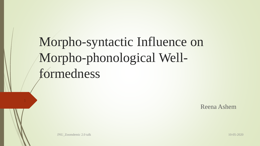Morpho-syntactic Influence on Morpho-phonological Wellformedness

Reena Ashem

JNU\_Zoomdemic 2.0 talk 10-05-2020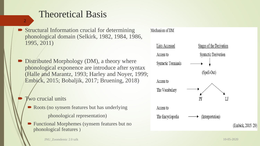# Theoretical Basis

- Structural Information crucial for determining phonological domain (Selkirk, 1982, 1984, 1986, 1995, 2011)
- Distributed Morphology (DM), a theory where phonological exponence are introduce after syntax (Halle and Marantz, 1993; Harley and Noyer, 1999; Embick, 2015; Bobaljik, 2017; Bruening, 2018)
	- **Two crucial units**

- Roots (no synsem features but has underlying phonological representation)
- Functional Morphemes (synsem features but no phonological features )

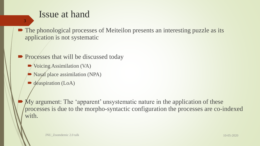## Issue at hand

• The phonological processes of Meiteilon presents an interesting puzzle as its application is not systematic

• Processes that will be discussed today

■ Voicing Assimilation (VA)

Nasal place assimilation (NPA)

deaspiration (LoA)

3

My argument: The 'apparent' unsystematic nature in the application of these processes is due to the morpho-syntactic configuration the processes are co-indexed with.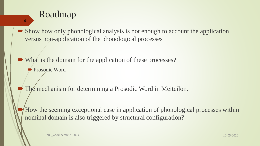## Roadmap

- Show how only phonological analysis is not enough to account the application versus non-application of the phonological processes
- What is the domain for the application of these processes?
	- Prosodic Word

- The mechanism for determining a Prosodic Word in Meiteilon.
- How the seeming exceptional case in application of phonological processes within nominal domain is also triggered by structural configuration?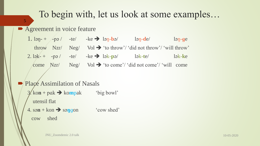## To begin with, let us look at some examples…

### **Agreement in voice feature**

5

1.  $\log_{10} + \log_{10}$  -te/ -ke  $\rightarrow \log_{10}$ -bə/  $\log_{10}$ -de/  $\log_{10}$ -ge throw  $Nzr/$   $Neg/$   $Vol \rightarrow$  'to throw'/ 'did not throw'/ 'will throw' 2. lək- + -pə / -te/ -ke lək-**p**ə/ lək-**t**e/ lək-**k**e come  $Nzr/$   $Neg/$   $Vol \rightarrow$  'to come'/ 'did not come'/ 'will come

## Place Assimilation of Nasals  $3$ / ko**n** + pak  $\rightarrow$  kompak 'big bowl' utensil flat  $4. \text{sgn} + \text{kon} \rightarrow \text{sggon}$  'cow shed' cow shed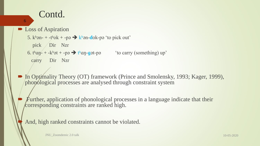## Contd.

### **Loss of Aspiration**

6

- 5.  $k^{\text{h}}$ ən- + -t<sup>h</sup>ok + -pə  $\rightarrow$  kʰən-dok-pə 'to pick out'
	- pick Dir Nzr
- 6.  $t<sup>h</sup>an t k<sup>h</sup>ot + -p$ ə  $t<sup>h</sup>an-got-p$  'to carry (something) up'
	- carry Dir Nzr
- In Optimality Theory (OT) framework (Prince and Smolensky, 1993; Kager, 1999), phonological processes are analysed through constraint system
	- Further, application of phonological processes in a language indicate that their corresponding constraints are ranked high.

And, high ranked constraints cannot be violated.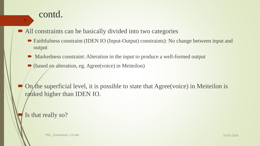7

• All constraints can be basically divided into two categories

- Faithfulness constraint (IDEN IO (Input-Output) constraints): No change between input and output
- Markedness constraint: Alteration in the input to produce a well-formed output
- (based on alteration, eg. Agree(voice) in Meiteilon)

On the superficial level, it is possible to state that Agree(voice) in Meiteilon is ranked higher than IDEN IO.

### Is that really so?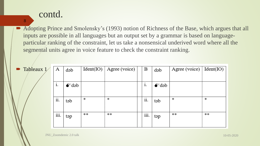8

• Adopting Prince and Smolensky's (1993) notion of Richness of the Base, which argues that all inputs are possible in all languages but an output set by a grammar is based on languageparticular ranking of the constraint, let us take a nonsensical underived word where all the segmental units agree in voice feature to check the constraint ranking.

| $\blacksquare$ Tableaux 1 | A    | dəb           |    | Ident(IO)   Age (voice) | B                    | dəb           | Agree (voice) $Ident(IO)$ |    |
|---------------------------|------|---------------|----|-------------------------|----------------------|---------------|---------------------------|----|
|                           |      |               |    |                         |                      |               |                           |    |
|                           | i.   | $\bullet$ dəb |    |                         | $\blacksquare$<br>1. | $\bullet$ dəb |                           |    |
|                           |      |               |    |                         |                      |               |                           |    |
|                           | ii.  | təb           | ∗  | ∗                       | ii.                  | təb           | ∗                         | ∗  |
|                           |      |               |    |                         |                      |               |                           |    |
|                           | iii. | təp           | ** | **                      | iii.                 | təp           | **                        | ** |
|                           |      |               |    |                         |                      |               |                           |    |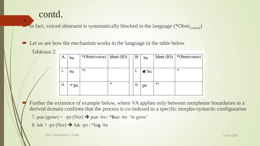Tableaux 2

9

In fact, voiced obstruent is systematically blocked in the language  $(*Obstr<sub>(voice)</sub>)$ 

Let us see how the mechanism works in the language in the table below

| A.         | ba | *Obstr(voice)   Ident (IO) |   | B       | ba           | Ident $(IO)$ | *Obstr(voice) |
|------------|----|----------------------------|---|---------|--------------|--------------|---------------|
| ٠<br>1.    | ba | *1                         |   | ٠<br>1. | $\bullet$ ba |              | *             |
| . .<br>11. | pa |                            | * | ii.     | pa           | *1           |               |
|            |    |                            |   |         |              |              |               |

 Further the existence of example below, where VA applies only between morpheme boundaries in a derived domain confirms that the process is co-indexed to a specific morpho-syntactic configuration

7. pan  $(grow)$  + -pə  $(Nzr)$   $\rightarrow$  pan -bə  $/$  \*ban -bə 'to grow'

8. lɑk + -pə (Nzr) lɑk -pə / \*lɑ**ɡ** -bə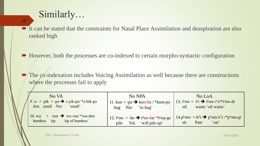# Similarly…

- It can be stated that the constraints for Nasal Place Assimilation and deaspiration are also ranked high
- However, both the processes are co-indexed to certain morpho-syntactic configuration
	- The co-indexation includes Voicing Assimilation as well because there are constructions where the processes fail to apply

| No VA<br>9. $\theta$ - + pik + -pa $\rightarrow$ $\theta$ -pik-pa/* $\theta$ -bik-pa<br>Attr. small Nzr<br>'small' | No NPA<br>11. kon + -pa $\rightarrow$ kon-ba / *kom-pa<br>hug Nzr 'to hug'                                                       | No LoA<br>13. $t^h$ <sub>9</sub> w + $t^h$ i $\rightarrow$ $t^h$ <sub>9</sub> w- $t^h$ i/* $t^h$ <sub>9</sub> w-di<br>waste 'oil waste'<br>oil |
|--------------------------------------------------------------------------------------------------------------------|----------------------------------------------------------------------------------------------------------------------------------|------------------------------------------------------------------------------------------------------------------------------------------------|
| 10. wa $+$ -ton $\rightarrow$ wa-ton/ *wa-don<br>tip 'tip of bamboo'<br>bamboo                                     | 12. $t^{\text{ho}} - + \text{ke} \rightarrow t^{\text{ho}} - \text{ke}/t^{\text{ho}} - \text{qe}$<br>Vol. 'will pile up'<br>pile | $14. ph$ əm- $+$ -k <sup>h</sup> i $\rightarrow$ p <sup>h</sup> əm-k <sup>h</sup> i /*p <sup>h</sup> əm-gi<br>'sat'<br>Past<br>sit             |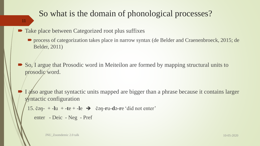## So what is the domain of phonological processes?

### 11

• Take place between Categorized root plus suffixes

**•** process of categorization takes place in narrow syntax (de Belder and Craenenbroeck, 2015; de Belder, 2011)

 So, I argue that Prosodic word in Meiteilon are formed by mapping structural units to prosodic word.

I also argue that syntactic units mapped are bigger than a phrase because it contains larger syntactic configuration

```
15. čən- +-lu +-te +-le \rightarrow čən-ru-də-re 'did not enter'
```

```
enter - Deic - Neg - Pref
```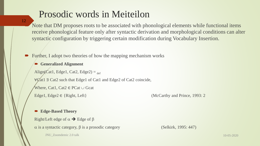# Prosodic words in Meiteilon

12

 Note that DM proposes roots to be associated with phonological elements while functional items receive phonological feature only after syntactic derivation and morphological conditions can alter syntactic configuration by triggering certain modification during Vocabulary Insertion.

Further, I adopt two theories of how the mapping mechanism works

**Generalized Alignment**

Align(Cat1, Edge1, Cat2, Edge2) =  $_{def}$ 

∀Cat1 ∃ Cat2 such that Edge1 of Cat1 and Edge2 of Cat2 coincide,

Where, Cat1, Cat2  $\in$  PCat  $\cup$  Gcat

Edge1, Edge2  $\in$  {Right, Left} (McCarthy and Prince, 1993: 2)

#### **Edge-Based Theory**

Right/Left edge of  $\alpha \rightarrow$  Edge of  $\beta$ 

 $\alpha$  is a syntactic category,  $\beta$  is a prosodic category (Selkirk, 1995: 447)

JNU\_Zoomdemic 2.0 talk 10-05-2020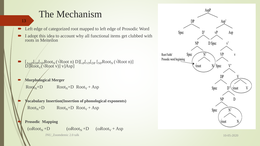# The Mechanism

13

- Left edge of categorized root mapped to left edge of Prosodic Word
- I adopt this idea to account why all functional items get clubbed with roots in Meiteilon

- $\blacksquare$   $\lbrack_{\text{Asp}}\rbrack_{\text{DP}}\lbrack_{\text{NP}}\text{Root}_{\text{N}}(\sqrt{\text{Root n}})$   $\lbrack_{\text{VP}}\rbrack_{\text{VP}}\lbrack_{\text{DP}}\lbrack_{\text{NP}}\text{Root}_{\text{N}}(\sqrt{\text{Root n}})]$  $\widehat{D}[\widehat{Root}_{V}(\forall Root \ v)]$  v]Asp]
- **Morphological Merger**

$$
RootN+D
$$
  $RootN+D$   $RootV + Asp$ 

 **Vocabulary Insertion(Insertion of phonological exponents)**  $Root<sub>N</sub>+D$   $Root<sub>N</sub>+D$   $Root<sub>V</sub> + Asp$ 



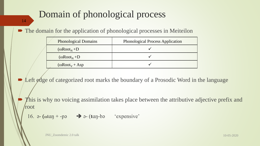# Domain of phonological process

14

### • The domain for the application of phonological processes in Meiteilon

| <b>Phonological Domains</b> |                                   | <b>Phonological Process Application</b> |  |  |  |
|-----------------------------|-----------------------------------|-----------------------------------------|--|--|--|
|                             | $(\omega Root_{N} + D)$           |                                         |  |  |  |
|                             | $(\omega \text{Root}_{N} + D)$    |                                         |  |  |  |
|                             | $(\omega$ Root <sub>v</sub> + Asp |                                         |  |  |  |

Left edge of categorized root marks the boundary of a Prosodic Word in the language

This is why no voicing assimilation takes place between the attributive adjective prefix and root

16.  $\theta$ - ( $\alpha$ tan + -p $\theta$   $\rightarrow$   $\theta$ - (tan-b $\theta$  'expensive'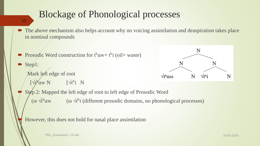# Blockage of Phonological processes

#### 15

- The above mechanism also helps account why no voicing assimilation and deaspiration takes place in nominal compounds
- **Prosodic Word construction for**  $t^h$ **aw+**  $t^h$ **i** (oil+ waste)
- Step1: Mark left edge of root
	- $\sqrt{t^h}$ aw N  $\sqrt{t^h}$ i N



Step 2: Mapped the left edge of root to left edge of Prosodic Word ( $\omega$   $\forall$ t<sup>h</sup>aw ( $\omega$   $\forall$ <sup>th</sup>i (different prosodic domains, no phonological processes)

However, this does not hold for nasal place assimilation

JNU\_Zoomdemic 2.0 talk 10-05-2020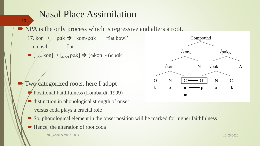# Nasal Place Assimilation

NPA is the only process which is regressive and alters a root.

17. kon + pak  $\rightarrow$  kom-pak 'flat bowl' utensil flat  $\bullet$  [ $_{Root}$  kon] + [ $_{Root}$  pɑk]  $\rightarrow$  ( $\omega$ kon - ( $\omega$ pɑk

- Two categorized roots, here I adopt
	- Positional Faithfulness (Lombardi, 1999)
	- distinction in phonological strength of onset versus coda plays a crucial role
	- So, phonological element in the onset position will be marked for higher faithfulness
	- Hence, the alteration of root coda



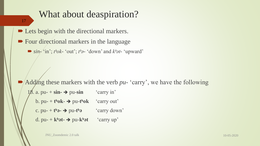# What about deaspiration? **■ Lets begin with the directional markers.** • Four directional markers in the language  $\bullet$   $\sin^{-1}$  in'; *thok*- 'out'; *tha*- 'down' and *khat*- 'upward' Adding these markers with the verb *pu-* 'carry', we have the following 18. a. pu-  $+ \sin \rightarrow$  pu- $\sin$  'carry in' b.  $pu - t^h \, ok - \rightarrow pu - t^h \, ok$  'carry out' 17

- c.  $pu t h$  $\rightarrow pu t h$  $\rightarrow$  'carry down'
- d. pu-  $+$   $k^h$ **ət-**  $\rightarrow$  pu- $k^h$ **ət** 'carry up'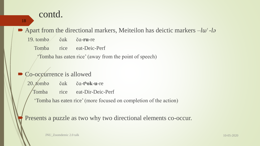### 18

■ Apart from the directional markers, Meiteilon has deictic markers  $-i\omega$  -la

19. tombə čɑk čɑ-**ru**-re

Tomba rice eat-Deic-Perf

'Tomba has eaten rice' (away from the point of speech)

## Co-occurrence is allowed

20. tombə čɑk čɑ-**tʰok**-**u**-re

Tomba rice eat-Dir-Deic-Perf

'Tomba has eaten rice' (more focused on completion of the action)

Presents a puzzle as two why two directional elements co-occur.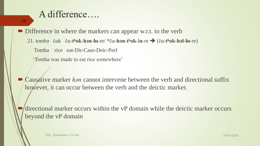## A difference….

19

Difference in where the markers can appear w.r.t. to the verb 21. tombə čɑk čɑ-**tʰok**-**hən**-**lu**-re/ \*čɑ**-hən**-**tʰok**-l**u**-re (čɑ-**tʰok-həl-lu**-re) Tomba rice eat-Dir-Caus-Deic-Perf

'Tomba was made to eat rice somewhere'

■ Causative marker *han* cannot intervene between the verb and directional suffix however, it can occur between the verb and the deictic marker.

 directional marker occurs within the vP domain while the deictic marker occurs beyond the vP domain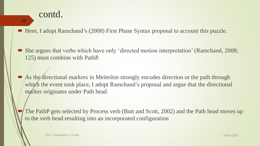#### 20

■ Here, I adopt Ramchand's (2008) First Phase Syntax proposal to account this puzzle.

- She argues that verbs which have only 'directed motion interpretation' (Ramchand, 2008; 125) must combine with PathP.
- As the directional markers in Meiteilon strongly encodes direction or the path through which the event took place, I adopt Ramchand's proposal and argue that the directional marker originates under Path head.
- The PathP gets selected by Process verb (Butt and Scott, 2002) and the Path head moves up to the verb head resulting into an incorporated configuration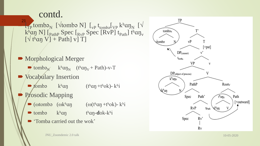$\blacksquare$  [The tomber N] [Vieldon N] [V<sub>VP</sub> t<sub>tombe</sub> [V<sub>VP</sub> kʰɑŋ<sub>N</sub> [V k<sup>h</sup>an N]  $\left[$ <sub>Path</sub> Spec  $\left[$ <sub>RvP</sub> Spec  $\left[$ RvP $\right]$  t<sub>Path</sub> $\left[$ <sup>th</sup>an<sub>y</sub>  $[\sqrt{\tan V} + \text{Path}]\text{ }v$  T] 21

- Morphological Merger  $\rightarrow$  tombə<sub>N</sub> k<sup>h</sup>an<sub>N</sub> (t<sup>h</sup>an<sub>V</sub> + Path)-v-T • Vocabulary Insertion  $\blacktriangleright$  *t*ombə k<sup>h</sup>an (t<sup>h</sup>an +t<sup>h</sup>ok)- k<sup>h</sup>i
	- Prosodic Mapping
		- $\bullet$  (otombə (okhan (o(than +thok)- khi
		- tombə k<sup>h</sup>an t<sup>h</sup>an-dok-k<sup>h</sup>i
		- 'Tomba carried out the wok'

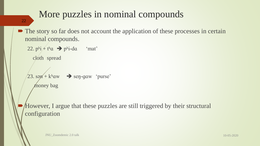# More puzzles in nominal compounds

#### 22

• The story so far does not account the application of these processes in certain nominal compounds.

```
22. p^{\text{hi}} + t^{\text{h}}a \rightarrow p^{\text{hi}}-da 'mat'
   cloth spread
23. sən + k<sup>h</sup>aw \rightarrow sen-gaw 'purse'
    money bag
```
 However, I argue that these puzzles are still triggered by their structural configuration